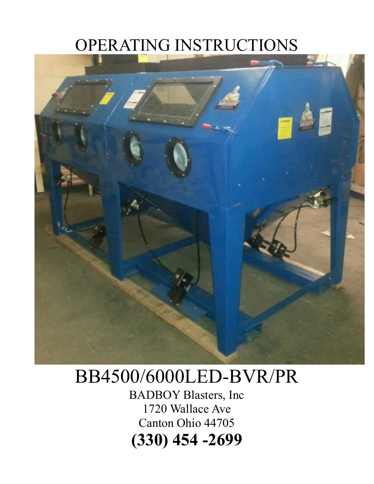### OPERATING INSTRUCTIONS



## BB4500/6000LED-BVR/PR

BADBOY Blasters, Inc 1720 Wallace Ave Canton Ohio 44705 **(330) 454 -2699**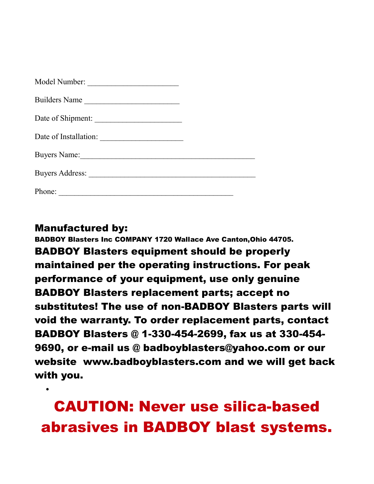| Builders Name       |  |
|---------------------|--|
| Date of Shipment:   |  |
|                     |  |
| <b>Buyers Name:</b> |  |
|                     |  |
| Phone:              |  |

Manufactured by:

•

BADBOY Blasters Inc COMPANY 1720 Wallace Ave Canton,Ohio 44705. BADBOY Blasters equipment should be properly maintained per the operating instructions. For peak performance of your equipment, use only genuine BADBOY Blasters replacement parts; accept no substitutes! The use of non-BADBOY Blasters parts will void the warranty. To order replacement parts, contact BADBOY Blasters @ 1-330-454-2699, fax us at 330-454- 9690, or e-mail us @ badboyblasters@yahoo.com or our website www.badboyblasters.com and we will get back with you.

CAUTION: Never use silica-based abrasives in BADBOY blast systems.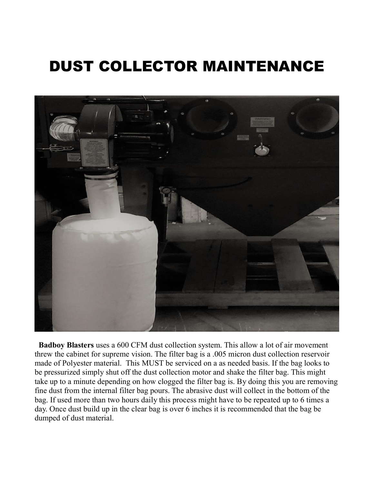### DUST COLLECTOR MAINTENANCE



 **Badboy Blasters** uses a 600 CFM dust collection system. This allow a lot of air movement threw the cabinet for supreme vision. The filter bag is a .005 micron dust collection reservoir made of Polyester material. This MUST be serviced on a as needed basis. If the bag looks to be pressurized simply shut off the dust collection motor and shake the filter bag. This might take up to a minute depending on how clogged the filter bag is. By doing this you are removing fine dust from the internal filter bag pours. The abrasive dust will collect in the bottom of the bag. If used more than two hours daily this process might have to be repeated up to 6 times a day. Once dust build up in the clear bag is over 6 inches it is recommended that the bag be dumped of dust material.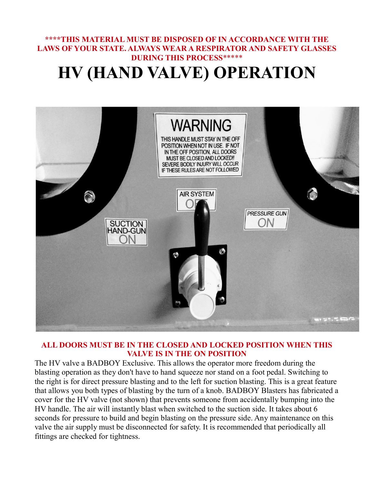### **\*\*\*\*THIS MATERIAL MUST BE DISPOSED OF IN ACCORDANCE WITH THE LAWS OF YOUR STATE. ALWAYS WEAR A RESPIRATOR AND SAFETY GLASSES DURING THIS PROCESS**\*\*\*\*\* **HV (HAND VALVE) OPERATION**



#### **ALL DOORS MUST BE IN THE CLOSED AND LOCKED POSITION WHEN THIS VALVE IS IN THE ON POSITION**

The HV valve a BADBOY Exclusive. This allows the operator more freedom during the blasting operation as they don't have to hand squeeze nor stand on a foot pedal. Switching to the right is for direct pressure blasting and to the left for suction blasting. This is a great feature that allows you both types of blasting by the turn of a knob. BADBOY Blasters has fabricated a cover for the HV valve (not shown) that prevents someone from accidentally bumping into the HV handle. The air will instantly blast when switched to the suction side. It takes about 6 seconds for pressure to build and begin blasting on the pressure side. Any maintenance on this valve the air supply must be disconnected for safety. It is recommended that periodically all fittings are checked for tightness.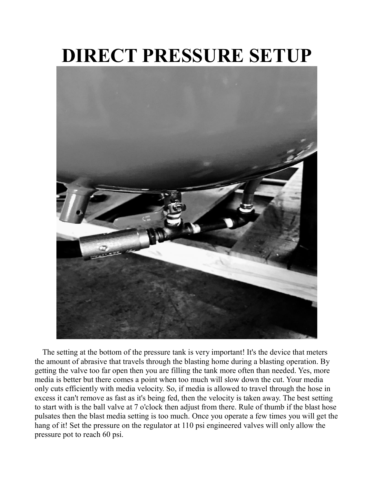# **DIRECT PRESSURE SETUP**



The setting at the bottom of the pressure tank is very important! It's the device that meters the amount of abrasive that travels through the blasting home during a blasting operation. By getting the valve too far open then you are filling the tank more often than needed. Yes, more media is better but there comes a point when too much will slow down the cut. Your media only cuts efficiently with media velocity. So, if media is allowed to travel through the hose in excess it can't remove as fast as it's being fed, then the velocity is taken away. The best setting to start with is the ball valve at 7 o'clock then adjust from there. Rule of thumb if the blast hose pulsates then the blast media setting is too much. Once you operate a few times you will get the hang of it! Set the pressure on the regulator at 110 psi engineered valves will only allow the pressure pot to reach 60 psi.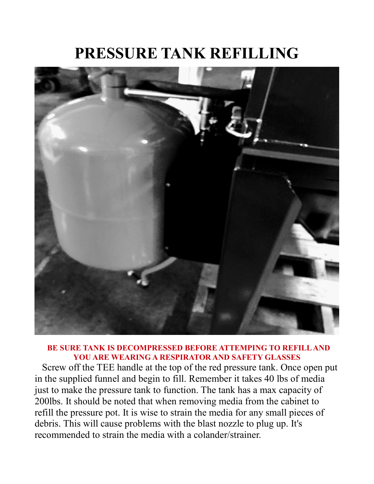### **PRESSURE TANK REFILLING**



#### **BE SURE TANK IS DECOMPRESSED BEFORE ATTEMPING TO REFILL AND YOU ARE WEARING A RESPIRATOR AND SAFETY GLASSES**

Screw off the TEE handle at the top of the red pressure tank. Once open put in the supplied funnel and begin to fill. Remember it takes 40 lbs of media just to make the pressure tank to function. The tank has a max capacity of 200lbs. It should be noted that when removing media from the cabinet to refill the pressure pot. It is wise to strain the media for any small pieces of debris. This will cause problems with the blast nozzle to plug up. It's recommended to strain the media with a colander/strainer.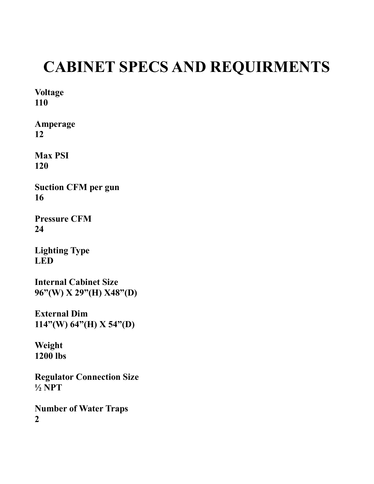### **CABINET SPECS AND REQUIRMENTS**

**Voltage 110**

**Amperage 12**

**Max PSI 120**

**Suction CFM per gun 16**

**Pressure CFM 24**

**Lighting Type LED**

**Internal Cabinet Size 96"(W) X 29"(H) X48"(D)**

**External Dim 114"(W) 64"(H) X 54"(D)**

**Weight 1200 lbs**

**Regulator Connection Size ½ NPT**

**Number of Water Traps 2**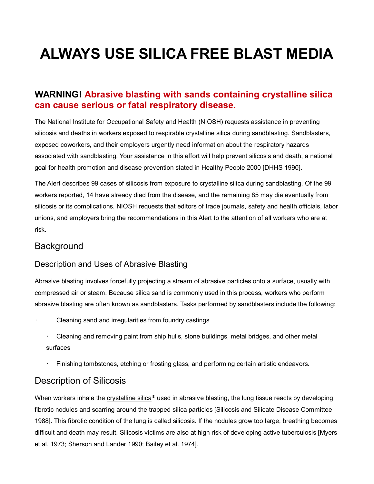## **ALWAYS USE SILICA FREE BLAST MEDIA**

#### **WARNING! Abrasive blasting with sands containing crystalline silica can cause serious or fatal respiratory disease.**

The National Institute for Occupational Safety and Health (NIOSH) requests assistance in preventing silicosis and deaths in workers exposed to respirable crystalline silica during sandblasting. Sandblasters, exposed coworkers, and their employers urgently need information about the respiratory hazards associated with sandblasting. Your assistance in this effort will help prevent silicosis and death, a national goal for health promotion and disease prevention stated in Healthy People 2000 [DHHS 1990].

The Alert describes 99 cases of silicosis from exposure to crystalline silica during sandblasting. Of the 99 workers reported, 14 have already died from the disease, and the remaining 85 may die eventually from silicosis or its complications. NIOSH requests that editors of trade journals, safety and health officials, labor unions, and employers bring the recommendations in this Alert to the attention of all workers who are at risk.

### **Background**

#### Description and Uses of Abrasive Blasting

Abrasive blasting involves forcefully projecting a stream of abrasive particles onto a surface, usually with compressed air or steam. Because silica sand is commonly used in this process, workers who perform abrasive blasting are often known as sandblasters. Tasks performed by sandblasters include the following:

- Cleaning sand and irregularities from foundry castings
	- Cleaning and removing paint from ship hulls, stone buildings, metal bridges, and other metal surfaces
	- Finishing tombstones, etching or frosting glass, and performing certain artistic endeavors.

### Description of Silicosis

When workers inhale the crystalline silica[\\*](https://www.cdc.gov/niosh/docs/92-102/default.html) used in abrasive blasting, the lung tissue reacts by developing fibrotic nodules and scarring around the trapped silica particles [Silicosis and Silicate Disease Committee 1988]. This fibrotic condition of the lung is called silicosis. If the nodules grow too large, breathing becomes difficult and death may result. Silicosis victims are also at high risk of developing active tuberculosis [Myers et al. 1973; Sherson and Lander 1990; Bailey et al. 1974].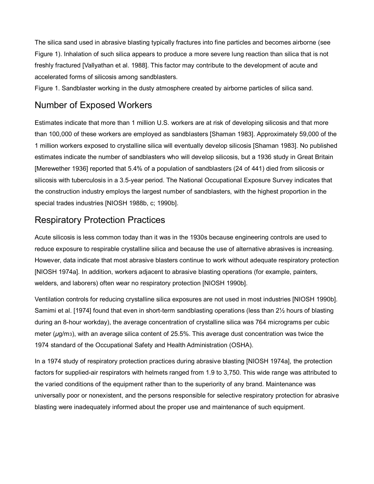The silica sand used in abrasive blasting typically fractures into fine particles and becomes airborne (see Figure 1). Inhalation of such silica appears to produce a more severe lung reaction than silica that is not freshly fractured [Vallyathan et al. 1988]. This factor may contribute to the development of acute and accelerated forms of silicosis among sandblasters.

Figure 1. Sandblaster working in the dusty atmosphere created by airborne particles of silica sand.

### Number of Exposed Workers

Estimates indicate that more than 1 million U.S. workers are at risk of developing silicosis and that more than 100,000 of these workers are employed as sandblasters [Shaman 1983]. Approximately 59,000 of the 1 million workers exposed to crystalline silica will eventually develop silicosis [Shaman 1983]. No published estimates indicate the number of sandblasters who will develop silicosis, but a 1936 study in Great Britain [Merewether 1936] reported that 5.4% of a population of sandblasters (24 of 441) died from silicosis or silicosis with tuberculosis in a 3.5-year period. The National Occupational Exposure Survey indicates that the construction industry employs the largest number of sandblasters, with the highest proportion in the special trades industries [NIOSH 1988b, c; 1990b].

### Respiratory Protection Practices

Acute silicosis is less common today than it was in the 1930s because engineering controls are used to reduce exposure to respirable crystalline silica and because the use of alternative abrasives is increasing. However, data indicate that most abrasive blasters continue to work without adequate respiratory protection [NIOSH 1974a]. In addition, workers adjacent to abrasive blasting operations (for example, painters, welders, and laborers) often wear no respiratory protection [NIOSH 1990b].

Ventilation controls for reducing crystalline silica exposures are not used in most industries [NIOSH 1990b]. Samimi et al. [1974] found that even in short-term sandblasting operations (less than 2½ hours of blasting during an 8-hour workday), the average concentration of crystalline silica was 764 micrograms per cubic meter ( $\mu$ g/m<sub>3</sub>), with an average silica content of 25.5%. This average dust concentration was twice the 1974 standard of the Occupational Safety and Health Administration (OSHA).

In a 1974 study of respiratory protection practices during abrasive blasting [NIOSH 1974a], the protection factors for supplied-air respirators with helmets ranged from 1.9 to 3,750. This wide range was attributed to the varied conditions of the equipment rather than to the superiority of any brand. Maintenance was universally poor or nonexistent, and the persons responsible for selective respiratory protection for abrasive blasting were inadequately informed about the proper use and maintenance of such equipment.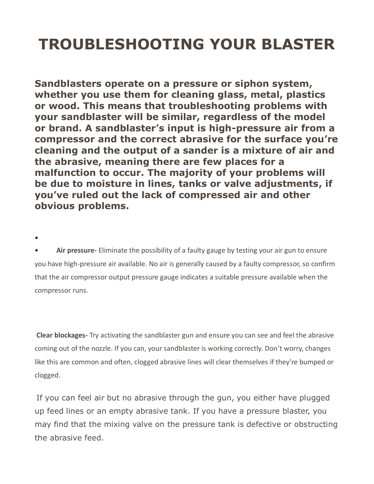## **TROUBLESHOOTING YOUR BLASTER**

**Sandblasters operate on a pressure or siphon system, whether you use them for cleaning glass, metal, plastics or wood. This means that troubleshooting problems with your sandblaster will be similar, regardless of the model or brand. A sandblaster's input is high-pressure air from a compressor and the correct abrasive for the surface you're cleaning and the output of a sander is a mixture of air and the abrasive, meaning there are few places for a malfunction to occur. The majority of your problems will be due to moisture in lines, tanks or valve adjustments, if you've ruled out the lack of compressed air and other obvious problems.**

• **Air pressure-** Eliminate the possibility of a faulty gauge by testing your air gun to ensure you have high-pressure air available. No air is generally caused by a faulty compressor, so confirm that the air compressor output pressure gauge indicates a suitable pressure available when the compressor runs.

•

**Clear blockages-** Try activating the sandblaster gun and ensure you can see and feel the abrasive coming out of the nozzle. If you can, your sandblaster is working correctly. Don't worry, changes like this are common and often, clogged abrasive lines will clear themselves if they're bumped or clogged.

If you can feel air but no abrasive through the gun, you either have plugged up feed lines or an empty abrasive tank. If you have a pressure blaster, you may find that the mixing valve on the pressure tank is defective or obstructing the abrasive feed.